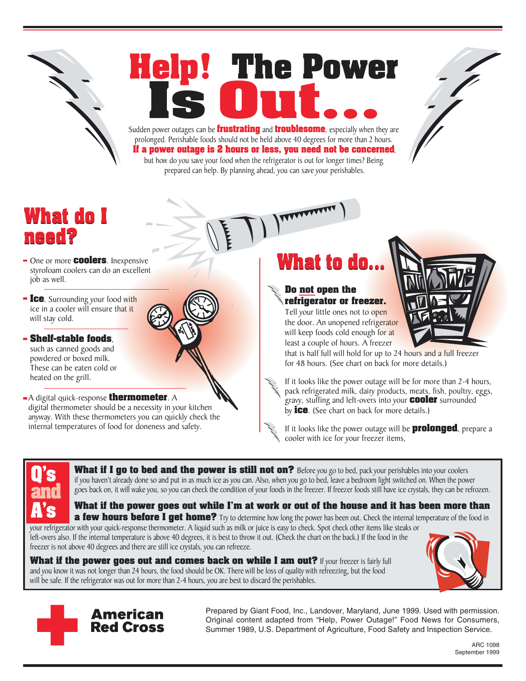

## Sudden power outages can be **frustrating** and **troublesome**, especially when they are **Help! The Power**



prolonged. Perishable foods should not be held above 40 degrees for more than 2 hours. **If a power outage is 2 hours or less, you need not be concerned**, but how do you save your food when the refrigerator is out for longer times? Being prepared can help. By planning ahead, you can save your perishables.

## **What do I need?**

- One or more **coolers**. Inexpensive styrofoam coolers can do an excellent job as well.
- **Ice**. Surrounding your food with ice in a cooler will ensure that it will stay cold.

**Shelf-stable foods**, such as canned goods and powdered or boxed milk. These can be eaten cold or heated on the grill.

A digital quick-response **thermometer**. A digital thermometer should be a necessity in your kitchen anyway. With these thermometers you can quickly check the internal temperatures of food for doneness and safety.

## **What to do...**

## **Do not open the refrigerator or freezer.**

Tell your little ones not to open the door. An unopened refrigerator will keep foods cold enough for at least a couple of hours. A freezer



that is half full will hold for up to 24 hours and a full freezer for 48 hours. (See chart on back for more details.)

If it looks like the power outage will be for more than 2-4 hours, pack refrigerated milk, dairy products, meats, fish, poultry, eggs, gravy, stuffing and left-overs into your **cooler** surrounded by **ice**. (See chart on back for more details.)

If it looks like the power outage will be **prolonged**, prepare a cooler with ice for your freezer items,

**Q's and A's**

What if I go to bed and the power is still not on? Before you go to bed, pack your perishables into your coolers if you haven't already done so and put in as much ice as you can. Also, when you go to bed, leave a bedroom light switched on. When the power goes back on, it will wake you, so you can check the condition of your foods in the freezer. If freezer foods still have ice crystals, they can be refrozen.

**What if the power goes out while I'm at work or out of the house and it has been more than a few hours before I get home?** Try to determine how long the power has been out. Check the internal temperature of the food in

your refrigerator with your quick-response thermometer. A liquid such as milk or juice is easy to check. Spot check other items like steaks or left-overs also. If the internal temperature is above 40 degrees, it is best to throw it out. (Check the chart on the back.) If the food in the freezer is not above 40 degrees and there are still ice crystals, you can refreeze.







Prepared by Giant Food, Inc., Landover, Maryland, June 1999. Used with permission. Original content adapted from "Help, Power Outage!" Food News for Consumers, Summer 1989, U.S. Department of Agriculture, Food Safety and Inspection Service.